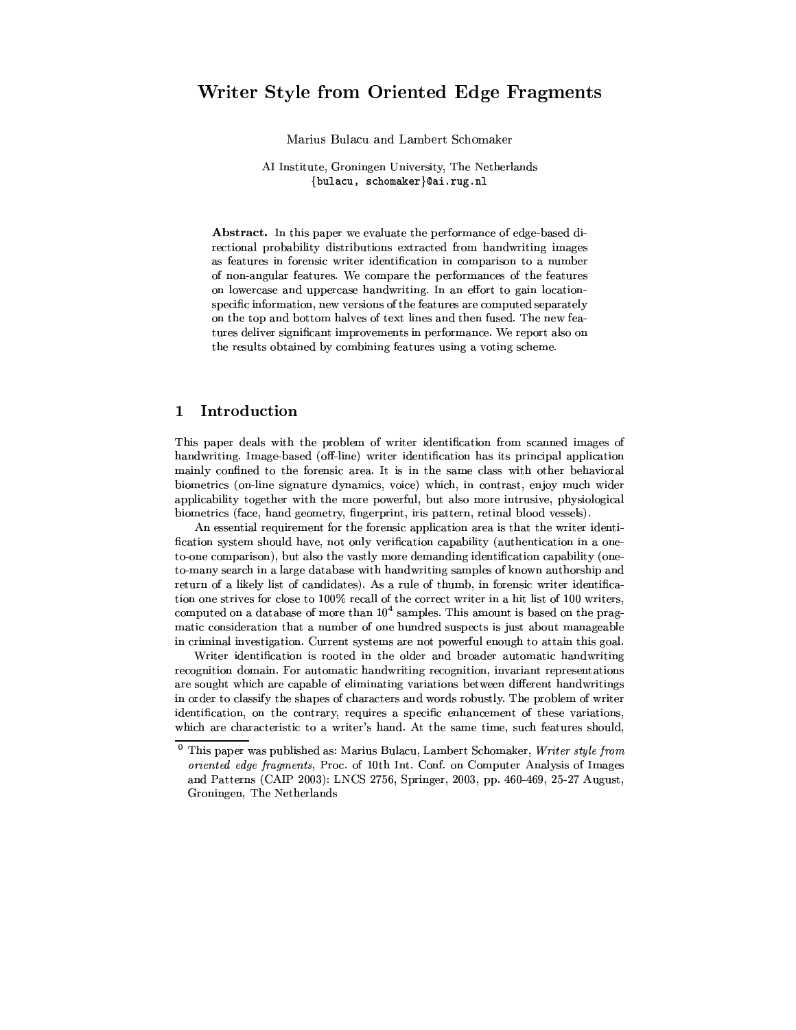# Writer Style from Oriented Edge Fragments

Marius Bulacu and Lambert Schomaker

AI Institute, Groningen University, The Netherlands {bulacu, schomaker}@ai.rug.nl

**Abstract.** In this paper we evaluate the performance of edge-based directional probability distributions extracted from handwriting images as features in forensic writer identification in comparison to a number of non-angular features. We compare the performances of the features on lowercase and uppercase handwriting. In an effort to gain locationspecific information, new versions of the features are computed separately on the top and bottom halves of text lines and then fused. The new features deliver significant improvements in performance. We report also on the results obtained by combining features using a voting scheme.

## Introduction 1

This paper deals with the problem of writer identification from scanned images of handwriting. Image-based (off-line) writer identification has its principal application mainly confined to the forensic area. It is in the same class with other behavioral biometrics (on-line signature dynamics, voice) which, in contrast, enjoy much wider applicability together with the more powerful, but also more intrusive, physiological biometrics (face, hand geometry, fingerprint, iris pattern, retinal blood vessels).

An essential requirement for the forensic application area is that the writer identification system should have, not only verification capability (authentication in a oneto-one comparison), but also the vastly more demanding identification capability (oneto-many search in a large database with handwriting samples of known authorship and return of a likely list of candidates). As a rule of thumb, in forensic writer identification one strives for close to 100% recall of the correct writer in a hit list of 100 writers, computed on a database of more than  $10^4$  samples. This amount is based on the pragmatic consideration that a number of one hundred suspects is just about manageable in criminal investigation. Current systems are not powerful enough to attain this goal.

Writer identification is rooted in the older and broader automatic handwriting recognition domain. For automatic handwriting recognition, invariant representations are sought which are capable of eliminating variations between different handwritings in order to classify the shapes of characters and words robustly. The problem of writer identification, on the contrary, requires a specific enhancement of these variations, which are characteristic to a writer's hand. At the same time, such features should,

 $^0$  This paper was published as: Marius Bulacu, Lambert Schomaker, Writer style from oriented edge fragments, Proc. of 10th Int. Conf. on Computer Analysis of Images and Patterns (CAIP 2003): LNCS 2756, Springer, 2003, pp. 460-469, 25-27 August, Groningen, The Netherlands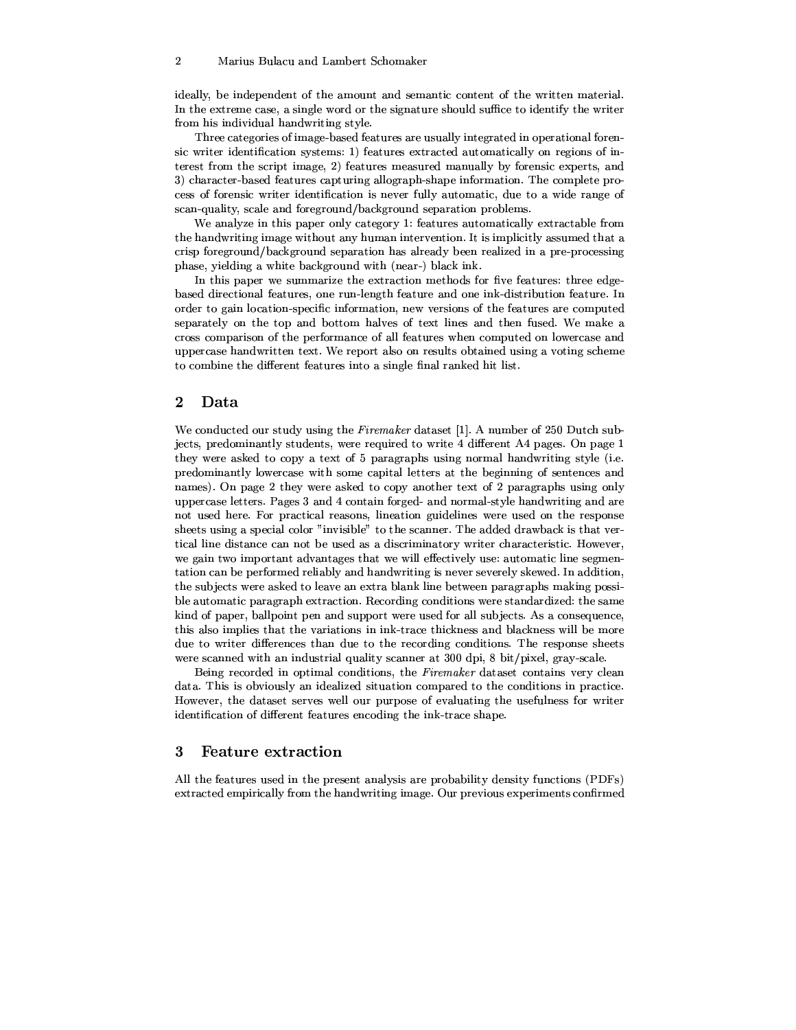ideally, be independent of the amount and semantic content of the written material. In the extreme case, a single word or the signature should suffice to identify the writer from his individual handwriting style.

Three categories of image-based features are usually integrated in operational forensic writer identification systems: 1) features extracted automatically on regions of interest from the script image, 2) features measured manually by forensic experts, and 3) character-based features capturing allograph-shape information. The complete process of forensic writer identification is never fully automatic, due to a wide range of scan-quality, scale and foreground/background separation problems.

We analyze in this paper only category 1: features automatically extractable from the handwriting image without any human intervention. It is implicitly assumed that a crisp foreground/background separation has already been realized in a pre-processing phase, yielding a white background with (near-) black ink.

In this paper we summarize the extraction methods for five features: three edgebased directional features, one run-length feature and one ink-distribution feature. In order to gain location-specific information, new versions of the features are computed separately on the top and bottom halves of text lines and then fused. We make a cross comparison of the performance of all features when computed on lowercase and uppercase handwritten text. We report also on results obtained using a voting scheme to combine the different features into a single final ranked hit list.

## $\overline{2}$ Data

We conducted our study using the Firemaker dataset [1]. A number of 250 Dutch subjects, predominantly students, were required to write 4 different A4 pages. On page 1 they were asked to copy a text of 5 paragraphs using normal handwriting style (i.e. predominantly lowercase with some capital letters at the beginning of sentences and names). On page 2 they were asked to copy another text of 2 paragraphs using only uppercase letters. Pages 3 and 4 contain forged- and normal-style handwriting and are not used here. For practical reasons, lineation guidelines were used on the response sheets using a special color "invisible" to the scanner. The added drawback is that vertical line distance can not be used as a discriminatory writer characteristic. However, we gain two important advantages that we will effectively use: automatic line segmentation can be performed reliably and handwriting is never severely skewed. In addition, the subjects were asked to leave an extra blank line between paragraphs making possible automatic paragraph extraction. Recording conditions were standardized: the same kind of paper, ballpoint pen and support were used for all subjects. As a consequence, this also implies that the variations in ink-trace thickness and blackness will be more due to writer differences than due to the recording conditions. The response sheets were scanned with an industrial quality scanner at 300 dpi, 8 bit/pixel, gray-scale.

Being recorded in optimal conditions, the Firemaker dataset contains very clean data. This is obviously an idealized situation compared to the conditions in practice. However, the dataset serves well our purpose of evaluating the usefulness for writer identification of different features encoding the ink-trace shape.

## 3 **Feature extraction**

All the features used in the present analysis are probability density functions (PDFs) extracted empirically from the handwriting image. Our previous experiments confirmed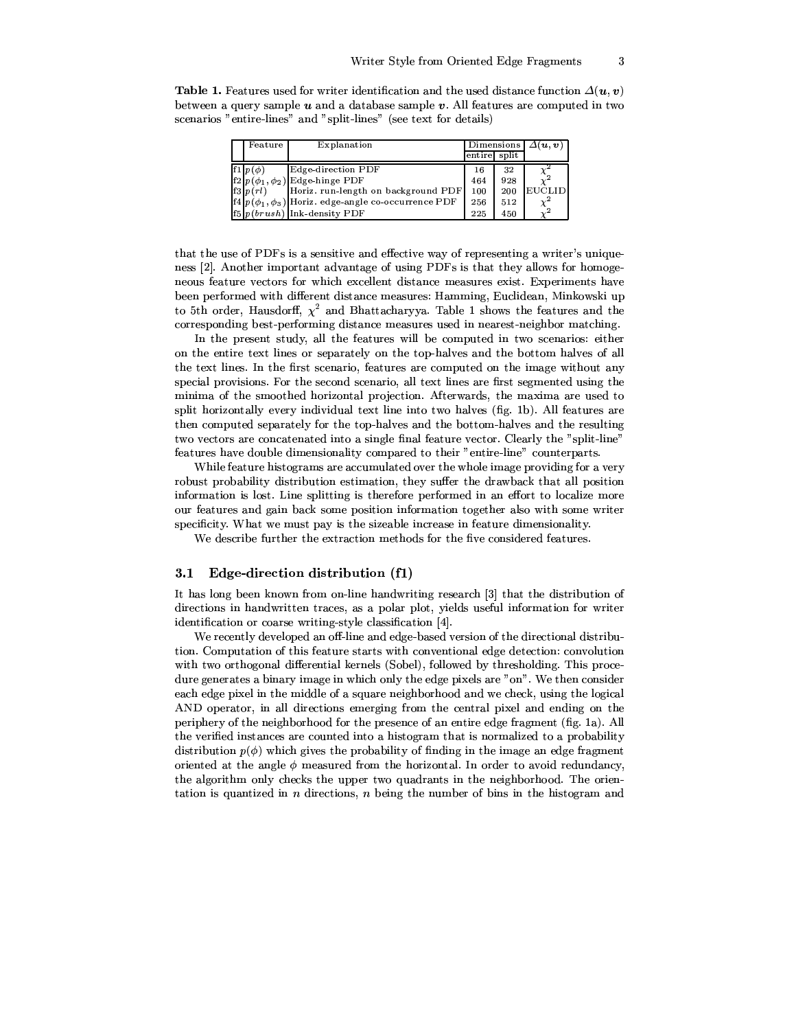**Table 1.** Features used for writer identification and the used distance function  $\Delta(\mathbf{u}, \mathbf{v})$ between a query sample  $u$  and a database sample  $v$ . All features are computed in two scenarios "entire-lines" and "split-lines" (see text for details)

| Feature      | Explanation                                                              | Dimensions<br>entirel | split | $\Delta(\bm{u},\bm{v})$ |
|--------------|--------------------------------------------------------------------------|-----------------------|-------|-------------------------|
| f1 $p(\phi)$ | Edge-direction PDF                                                       | 16                    | 32    |                         |
|              | $ f2 p(\phi_1,\phi_2) $ Edge-hinge PDF                                   | 464                   | 928   |                         |
| f3 p(rl)     | Horiz. run-length on background PDF                                      | 100                   | 200   | <b>EUCLID</b>           |
|              | $\lceil f4 \rceil p(\phi_1, \phi_3)$ Horiz. edge-angle co-occurrence PDF | 256                   | 512   | $\chi^2$                |
|              | $ f5 p(brush) $ Ink-density PDF                                          | 225                   | 450   |                         |

that the use of PDFs is a sensitive and effective way of representing a writer's uniqueness [2]. Another important advantage of using PDFs is that they allows for homogeneous feature vectors for which excellent distance measures exist. Experiments have been performed with different distance measures: Hamming, Euclidean, Minkowski up to 5th order, Hausdorff,  $\chi^2$  and Bhattacharyya. Table 1 shows the features and the corresponding best-performing distance measures used in nearest-neighbor matching.

In the present study, all the features will be computed in two scenarios: either on the entire text lines or separately on the top-halves and the bottom halves of all the text lines. In the first scenario, features are computed on the image without any special provisions. For the second scenario, all text lines are first segmented using the minima of the smoothed horizontal projection. Afterwards, the maxima are used to split horizontally every individual text line into two halves (fig. 1b). All features are then computed separately for the top-halves and the bottom-halves and the resulting two vectors are concatenated into a single final feature vector. Clearly the "split-line" features have double dimensionality compared to their "entire-line" counterparts.

While feature histograms are accumulated over the whole image providing for a very robust probability distribution estimation, they suffer the drawback that all position information is lost. Line splitting is therefore performed in an effort to localize more our features and gain back some position information together also with some writer specificity. What we must pay is the sizeable increase in feature dimensionality.

We describe further the extraction methods for the five considered features.

#### Edge-direction distribution (f1)  $3.1$

It has long been known from on-line handwriting research [3] that the distribution of directions in handwritten traces, as a polar plot, yields useful information for writer identification or coarse writing-style classification [4].

We recently developed an off-line and edge-based version of the directional distribution. Computation of this feature starts with conventional edge detection: convolution with two orthogonal differential kernels (Sobel), followed by thresholding. This procedure generates a binary image in which only the edge pixels are "on". We then consider each edge pixel in the middle of a square neighborhood and we check, using the logical AND operator, in all directions emerging from the central pixel and ending on the periphery of the neighborhood for the presence of an entire edge fragment (fig. 1a). All the verified instances are counted into a histogram that is normalized to a probability distribution  $p(\phi)$  which gives the probability of finding in the image an edge fragment oriented at the angle  $\phi$  measured from the horizontal. In order to avoid redundancy, the algorithm only checks the upper two quadrants in the neighborhood. The orientation is quantized in  $n$  directions,  $n$  being the number of bins in the histogram and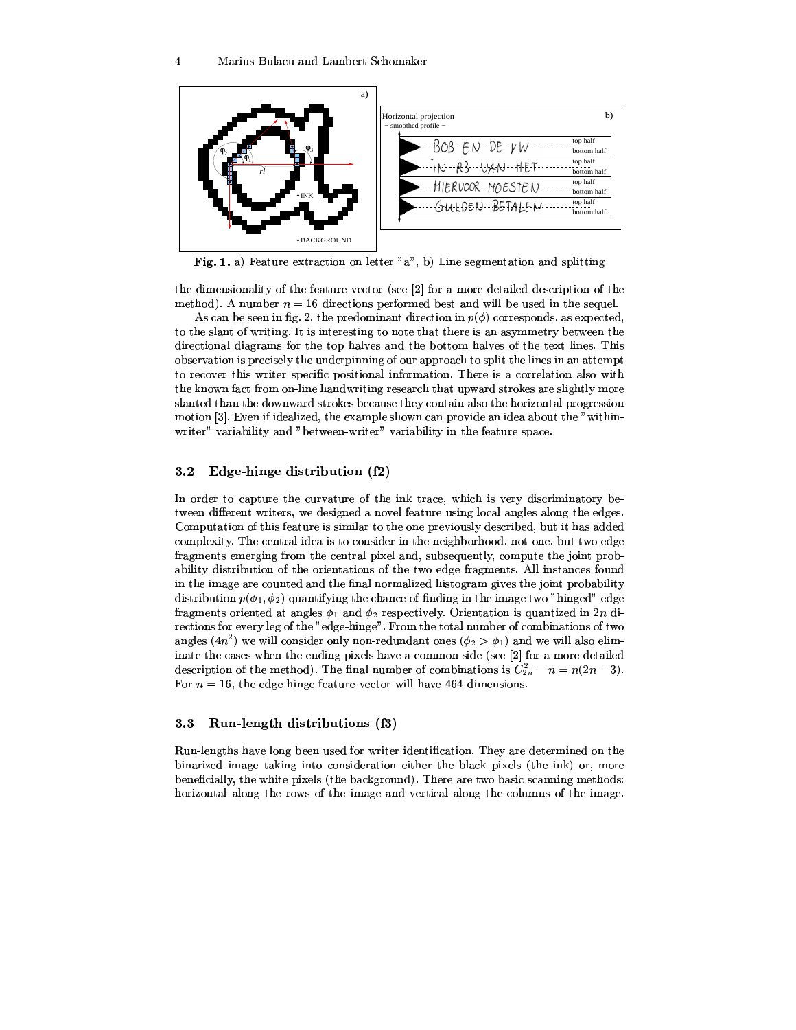

Fig. 1. a) Feature extraction on letter "a", b) Line segmentation and splitting

the dimensionality of the feature vector (see [2] for a more detailed description of the method). A number  $n = 16$  directions performed best and will be used in the sequel.

As can be seen in fig. 2, the predominant direction in  $p(\phi)$  corresponds, as expected, to the slant of writing. It is interesting to note that there is an asymmetry between the directional diagrams for the top halves and the bottom halves of the text lines. This observation is precisely the underpinning of our approach to split the lines in an attempt to recover this writer specific positional information. There is a correlation also with the known fact from on-line handwriting research that upward strokes are slightly more slanted than the downward strokes because they contain also the horizontal progression motion [3]. Even if idealized, the example shown can provide an idea about the "withinwriter" variability and "between-writer" variability in the feature space.

#### $3.2$ Edge-hinge distribution (f2)

In order to capture the curvature of the ink trace, which is very discriminatory between different writers, we designed a novel feature using local angles along the edges. Computation of this feature is similar to the one previously described, but it has added complexity. The central idea is to consider in the neighborhood, not one, but two edge fragments emerging from the central pixel and, subsequently, compute the joint probability distribution of the orientations of the two edge fragments. All instances found in the image are counted and the final normalized histogram gives the joint probability distribution  $p(\phi_1, \phi_2)$  quantifying the chance of finding in the image two "hinged" edge fragments oriented at angles  $\phi_1$  and  $\phi_2$  respectively. Orientation is quantized in 2n directions for every leg of the "edge-hinge". From the total number of combinations of two angles (4n<sup>2</sup>) we will consider only non-redundant ones ( $\phi_2 > \phi_1$ ) and we will also eliminate the cases when the ending pixels have a common side (see [2] for a more detailed description of the method). The final number of combinations is  $C_{2n}^2 - n = n(2n-3)$ . For  $n = 16$ , the edge-hinge feature vector will have 464 dimensions.

#### Run-length distributions (f3)  $3.3$

Run-lengths have long been used for writer identification. They are determined on the binarized image taking into consideration either the black pixels (the ink) or, more beneficially, the white pixels (the background). There are two basic scanning methods: horizontal along the rows of the image and vertical along the columns of the image.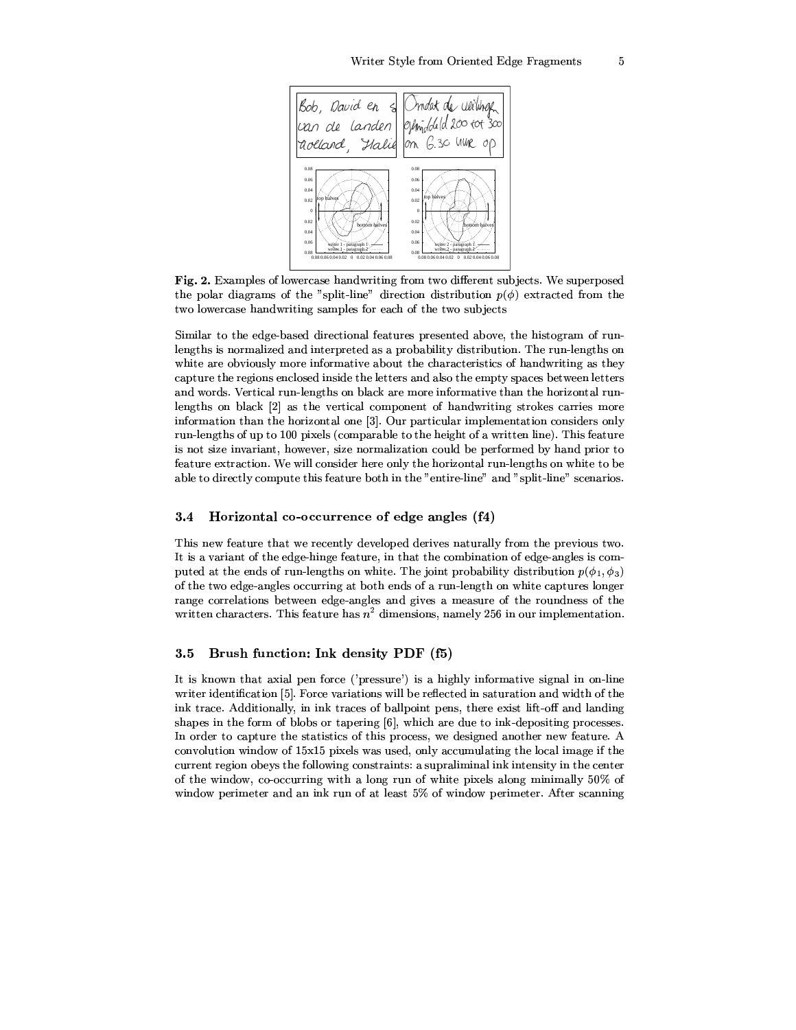

Fig. 2. Examples of lowercase handwriting from two different subjects. We superposed the polar diagrams of the "split-line" direction distribution  $p(\phi)$  extracted from the two lowercase handwriting samples for each of the two subjects

Similar to the edge-based directional features presented above, the histogram of runlengths is normalized and interpreted as a probability distribution. The run-lengths on white are obviously more informative about the characteristics of handwriting as they capture the regions enclosed inside the letters and also the empty spaces between letters and words. Vertical run-lengths on black are more informative than the horizontal runlengths on black [2] as the vertical component of handwriting strokes carries more information than the horizontal one [3]. Our particular implementation considers only run-lengths of up to 100 pixels (comparable to the height of a written line). This feature is not size invariant, however, size normalization could be performed by hand prior to feature extraction. We will consider here only the horizontal run-lengths on white to be able to directly compute this feature both in the "entire-line" and "split-line" scenarios.

#### Horizontal co-occurrence of edge angles (f4)  $3.4$

This new feature that we recently developed derives naturally from the previous two. It is a variant of the edge-hinge feature, in that the combination of edge-angles is computed at the ends of run-lengths on white. The joint probability distribution  $p(\phi_1, \phi_3)$ of the two edge-angles occurring at both ends of a run-length on white captures longer range correlations between edge-angles and gives a measure of the roundness of the written characters. This feature has  $n^2$  dimensions, namely 256 in our implementation.

#### $3.5$ Brush function: Ink density PDF (f5)

It is known that axial pen force ('pressure') is a highly informative signal in on-line writer identification [5]. Force variations will be reflected in saturation and width of the ink trace. Additionally, in ink traces of ballpoint pens, there exist lift-off and landing shapes in the form of blobs or tapering [6], which are due to ink-depositing processes. In order to capture the statistics of this process, we designed another new feature. A convolution window of 15x15 pixels was used, only accumulating the local image if the current region obeys the following constraints: a supraliminal ink intensity in the center of the window, co-occurring with a long run of white pixels along minimally 50% of window perimeter and an ink run of at least 5% of window perimeter. After scanning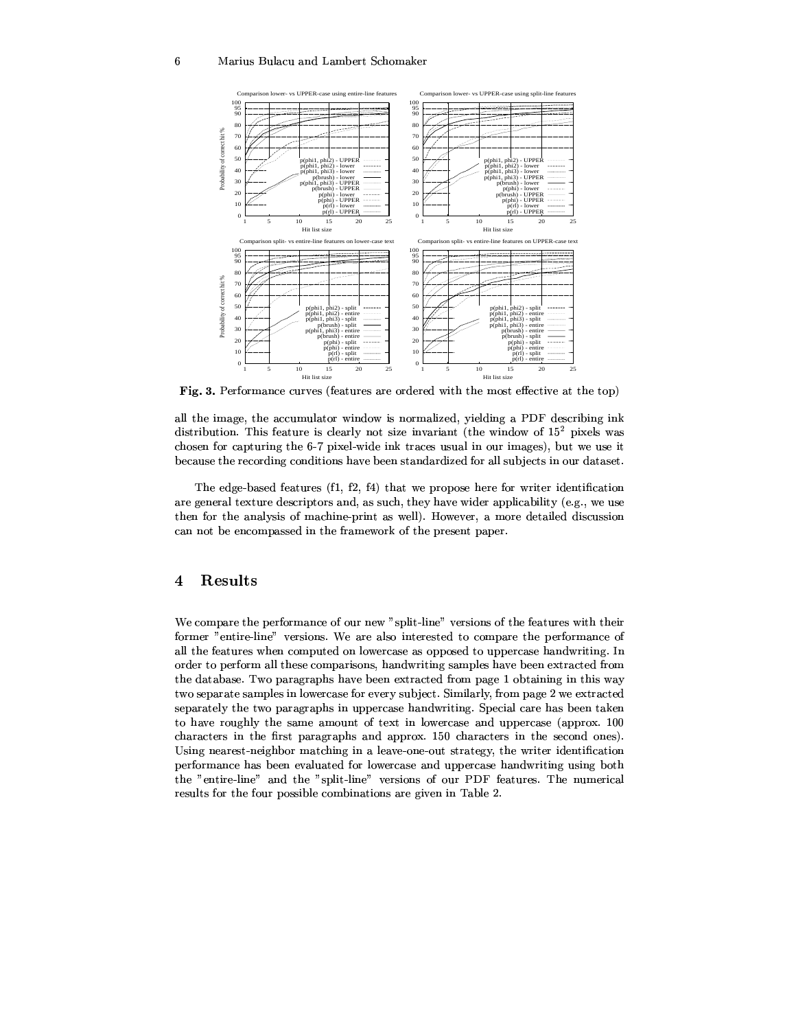

Fig. 3. Performance curves (features are ordered with the most effective at the top)

all the image, the accumulator window is normalized, yielding a PDF describing ink pWYTVUg`XWb=Z=UXWYa]R6§kl=WbT[oEUXZ=`X[\$WYT£2nb[oE`Xnh'R=aNU£TgW2[\$WYR0eNoE`XWboNRjU\$½UXl\_[WYRpas aN8Ésì m \_W[nYToNT chosen for capturing the 6-7 pixel-wide ink traces usual in our images), but we use it because the recording conditions have been standardized for all subjects in our dataset.

The edge-based features  $(f1, f2, f4)$  that we propose here for writer identification are general texture descriptors and, as such, they have wider applicability (e.g., we use then for the analysis of machine-print as well). However, a more detailed discussion can not be encompassed in the framework of the present paper.

## $\overline{\mathbf{4}}$ **Results**

We compare the performance of our new "split-line" versions of the features with their former "entire-line" versions. We are also interested to compare the performance of all the features when computed on lowercase as opposed to uppercase handwriting. In order to perform all these comparisons, handwriting samples have been extracted from the database. Two paragraphs have been extracted from page 1 obtaining in this way two separate samples in lowercase for every subject. Similarly, from page 2 we extracted separately the two paragraphs in uppercase handwriting. Special care has been taken to have roughly the same amount of text in lowercase and uppercase (approx. 100 characters in the first paragraphs and approx. 150 characters in the second ones). Using nearest-neighbor matching in a leave-one-out strategy, the writer identification performance has been evaluated for lowercase and uppercase handwriting using both the "entire-line" and the "split-line" versions of our PDF features. The numerical results for the four possible combinations are given in Table 2.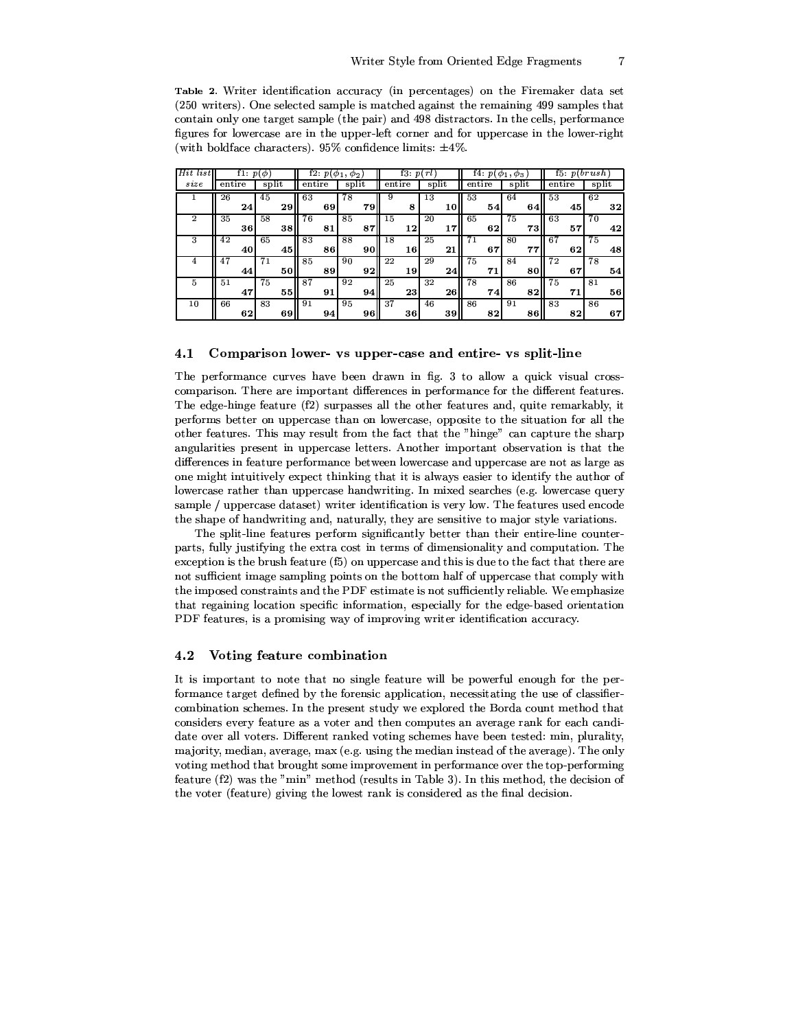Table 2. Writer identification accuracy (in percentages) on the Firemaker data set (250 writers). One selected sample is matched against the remaining 499 samples that contain only one target sample (the pair) and 498 distractors. In the cells, performance figures for lowercase are in the upper-left corner and for uppercase in the lower-right (with boldface characters). 95% confidence limits:  $\pm 4\%$ .

| Hit list | $f1$ :<br>$\boldsymbol{v}$<br>Ф |                 |       | f $2: n$ |        |    | f3:   |     |        |     | f4: $p'$ |              |        |    | f5: $p(brush)$ |    |        |    |       |    |
|----------|---------------------------------|-----------------|-------|----------|--------|----|-------|-----|--------|-----|----------|--------------|--------|----|----------------|----|--------|----|-------|----|
| size     | entire                          |                 | split |          | entire |    | split |     | entire |     | split    |              | entire |    | split          |    | entire |    | split |    |
|          | 26                              |                 | 45    |          | 63     |    | 78    |     | 9      |     | 13       |              | 53     |    | 64             |    | 53     |    | 62    |    |
|          |                                 | 24 <sub>1</sub> |       | 29       |        | 69 |       | 791 |        | 8   |          | $10^{\circ}$ |        | 54 |                | 64 |        | 45 |       | 32 |
| 2        | 35                              |                 | 58    |          | 76     |    | 85    |     | 15     |     | 20       |              | 65     |    | 75             |    | 63     |    | 70    |    |
|          |                                 | 36              |       | 38       |        | 81 |       | 87  |        | 121 |          |              |        | 62 |                | 73 |        | 57 |       | 42 |
| 3        | 42                              |                 | 65    |          | 83     |    | 88    |     | 18     |     | 25       |              | 71     |    | 80             |    | 67     |    | 75    |    |
|          |                                 | 40              |       | 45       |        | 86 |       | 90  |        | 16  |          | 21           |        | 67 |                | 77 |        | 62 |       | 48 |
|          | 47                              |                 | 71    |          | 85     |    | 90    |     | 22     |     | 29       |              | 75     |    | 84             |    | 72     |    | 78    |    |
|          |                                 | 44              |       | 50       |        | 89 |       | 92  |        | 19  |          | 24           |        | 71 |                | 80 |        | 67 |       | 54 |
| 5        | 51                              |                 | 75    |          | 87     |    | 92    |     | 25     |     | 32       |              | 78     |    | 86             |    | 75     |    | 81    |    |
|          |                                 | 47              |       | 55       |        | 91 |       | 94  |        | 23  |          | 26           |        | 74 |                | 82 |        | 71 |       | 56 |
| 10       | 66                              |                 | 83    |          | 91     |    | 95    |     | 37     |     | 46       |              | 86     |    | 91             |    | 83     |    | 86    |    |
|          |                                 | 62              |       | 69       |        | 94 |       | 96  |        | 36  |          | 39           |        | 82 |                | 86 |        | 82 |       | 67 |

#### Comparison lower- vs upper-case and entire- vs split-line  $4.1$

The performance curves have been drawn in fig. 3 to allow a quick visual crosscomparison. There are important differences in performance for the different features. The edge-hinge feature (f2) surpasses all the other features and, quite remarkably, it performs better on uppercase than on lowercase, opposite to the situation for all the other features. This may result from the fact that the "hinge" can capture the sharp angularities present in uppercase letters. Another important observation is that the differences in feature performance between lowercase and uppercase are not as large as one might intuitively expect thinking that it is always easier to identify the author of lowercase rather than uppercase handwriting. In mixed searches (e.g. lowercase query sample / uppercase dataset) writer identification is very low. The features used encode the shape of handwriting and, naturally, they are sensitive to major style variations.

The split-line features perform significantly better than their entire-line counterparts, fully justifying the extra cost in terms of dimensionality and computation. The exception is the brush feature (f5) on uppercase and this is due to the fact that there are not sufficient image sampling points on the bottom half of uppercase that comply with the imposed constraints and the PDF estimate is not sufficiently reliable. We emphasize that regaining location specific information, especially for the edge-based orientation PDF features, is a promising way of improving writer identification accuracy.

#### 4.2 Voting feature combination

It is important to note that no single feature will be powerful enough for the performance target defined by the forensic application, necessitating the use of classifiercombination schemes. In the present study we explored the Borda count method that considers every feature as a voter and then computes an average rank for each candidate over all voters. Different ranked voting schemes have been tested: min, plurality, majority, median, average, max (e.g. using the median instead of the average). The only voting method that brought some improvement in performance over the top-performing feature (f2) was the "min" method (results in Table 3). In this method, the decision of the voter (feature) giving the lowest rank is considered as the final decision.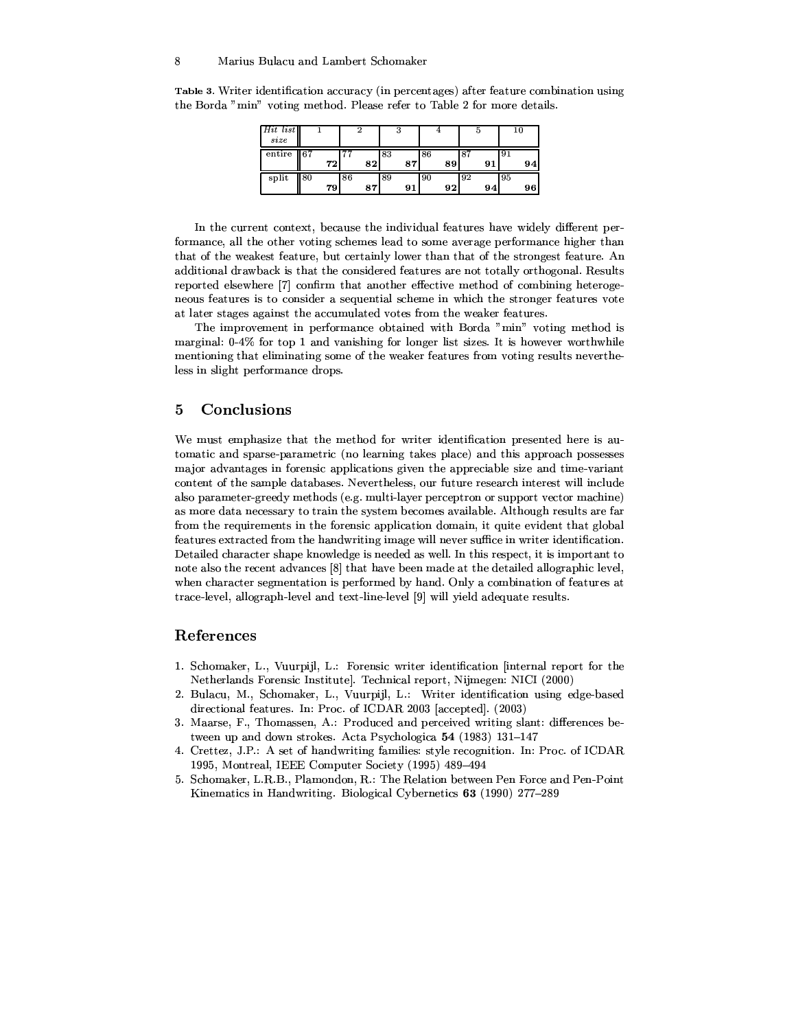$s$ plit

lit lis 10  $size$ entire  $72$ 82 87 89 91 94

 $90$ 

92

91

95

 ${\bf 96}$ 

94

89

87

86

79

Table 3. Writer identification accuracy (in percentages) after feature combination using the Borda "min" voting method. Please refer to Table 2 for more details.

In the current context, because the individual features have widely different performance, all the other voting schemes lead to some average performance higher than that of the weakest feature, but certainly lower than that of the strongest feature. An additional drawback is that the considered features are not totally orthogonal. Results reported elsewhere [7] confirm that another effective method of combining heterogeneous features is to consider a sequential scheme in which the stronger features vote at later stages against the accumulated votes from the weaker features.

The improvement in performance obtained with Borda "min" voting method is marginal: 0-4% for top 1 and vanishing for longer list sizes. It is however worthwhile mentioning that eliminating some of the weaker features from voting results nevertheless in slight performance drops.

## Conclusions  $\overline{5}$

We must emphasize that the method for writer identification presented here is automatic and sparse-parametric (no learning takes place) and this approach possesses major advantages in forensic applications given the appreciable size and time-variant content of the sample databases. Nevertheless, our future research interest will include also parameter-greedy methods (e.g. multi-layer perceptron or support vector machine) as more data necessary to train the system becomes available. Although results are far from the requirements in the forensic application domain, it quite evident that global features extracted from the handwriting image will never suffice in writer identification. Detailed character shape knowledge is needed as well. In this respect, it is important to note also the recent advances [8] that have been made at the detailed allographic level, when character segmentation is performed by hand. Only a combination of features at trace-level, allograph-level and text-line-level [9] will yield adequate results.

## References

- 1. Schomaker, L., Vuurpijl, L.: Forensic writer identification [internal report for the Netherlands Forensic Institute]. Technical report, Nijmegen: NICI (2000)
- 2. Bulacu, M., Schomaker, L., Vuurpijl, L.: Writer identification using edge-based directional features. In: Proc. of ICDAR 2003 [accepted]. (2003)
- 3. Maarse, F., Thomassen, A.: Produced and perceived writing slant: differences between up and down strokes. Acta Psychologica 54 (1983) 131–147
- 4. Crettez, J.P.: A set of handwriting families: style recognition. In: Proc. of ICDAR 1995, Montreal, IEEE Computer Society (1995) 489-494
- 5. Schomaker, L.R.B., Plamondon, R.: The Relation between Pen Force and Pen-Point Kinematics in Handwriting. Biological Cybernetics 63 (1990) 277-289